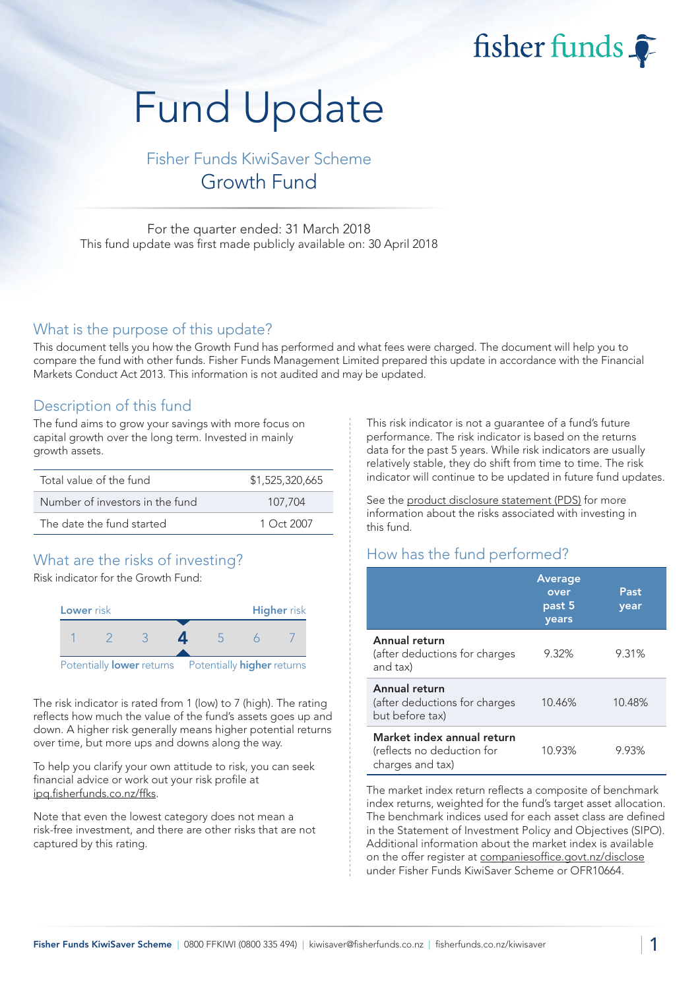fisher funds

# Fund Update

Fisher Funds KiwiSaver Scheme Growth Fund

For the quarter ended: 31 March 2018 This fund update was first made publicly available on: 30 April 2018

## What is the purpose of this update?

This document tells you how the Growth Fund has performed and what fees were charged. The document will help you to compare the fund with other funds. Fisher Funds Management Limited prepared this update in accordance with the Financial Markets Conduct Act 2013. This information is not audited and may be updated.

## Description of this fund

The fund aims to grow your savings with more focus on capital growth over the long term. Invested in mainly growth assets.

| Total value of the fund         | \$1,525,320,665 |  |  |
|---------------------------------|-----------------|--|--|
| Number of investors in the fund | 107.704         |  |  |
| The date the fund started       | $1$ Oct 2007    |  |  |

# What are the risks of investing?

Risk indicator for the Growth Fund:



The risk indicator is rated from 1 (low) to 7 (high). The rating reflects how much the value of the fund's assets goes up and down. A higher risk generally means higher potential returns over time, but more ups and downs along the way.

To help you clarify your own attitude to risk, you can seek financial advice or work out your risk profile at [ipq.fisherfunds.co.nz/ffks.](https://ipq.fisherfunds.co.nz/ffks)

Note that even the lowest category does not mean a risk-free investment, and there are other risks that are not captured by this rating.

This risk indicator is not a guarantee of a fund's future performance. The risk indicator is based on the returns data for the past 5 years. While risk indicators are usually relatively stable, they do shift from time to time. The risk indicator will continue to be updated in future fund updates.

See the [product disclosure statement \(PDS\)](https://fisherfunds.co.nz/assets/PDS/Fisher-Funds-KiwiSaver-Scheme-PDS.pdf) for more information about the risks associated with investing in this fund.

# How has the fund performed?

|                                                                              | <b>Average</b><br>over<br>past 5<br>years | Past<br>year |
|------------------------------------------------------------------------------|-------------------------------------------|--------------|
| Annual return<br>(after deductions for charges<br>and tax)                   | 9.32%                                     | 9.31%        |
| Annual return<br>(after deductions for charges<br>but before tax)            | 10.46%                                    | 10.48%       |
| Market index annual return<br>(reflects no deduction for<br>charges and tax) | 10.93%                                    | 9.93%        |

The market index return reflects a composite of benchmark index returns, weighted for the fund's target asset allocation. The benchmark indices used for each asset class are defined in the Statement of Investment Policy and Objectives (SIPO). Additional information about the market index is available on the offer register at [companiesoffice.govt.nz/disclose](http://companiesoffice.govt.nz/disclose) under Fisher Funds KiwiSaver Scheme or OFR10664.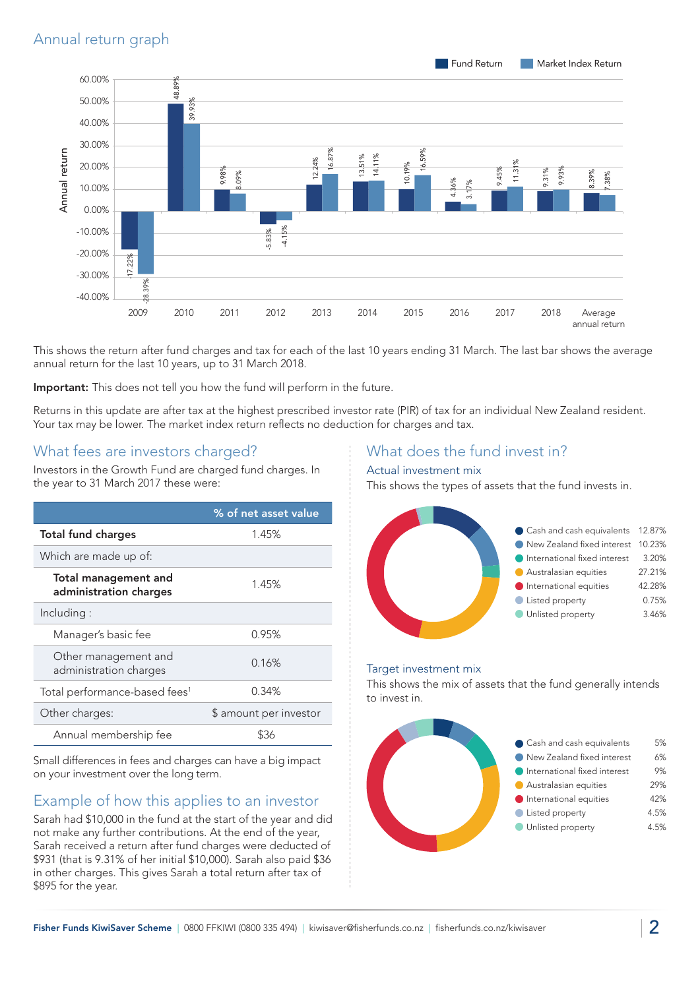

This shows the return after fund charges and tax for each of the last 10 years ending 31 March. The last bar shows the average annual return for the last 10 years, up to 31 March 2018.

Important: This does not tell you how the fund will perform in the future.

Returns in this update are after tax at the highest prescribed investor rate (PIR) of tax for an individual New Zealand resident. Your tax may be lower. The market index return reflects no deduction for charges and tax.

## What fees are investors charged?

Investors in the Growth Fund are charged fund charges. In the year to 31 March 2017 these were:

|                                                       | % of net asset value   |  |
|-------------------------------------------------------|------------------------|--|
| <b>Total fund charges</b>                             | 1.45%                  |  |
| Which are made up of:                                 |                        |  |
| <b>Total management and</b><br>administration charges | 1.45%                  |  |
| Including:                                            |                        |  |
| Manager's basic fee                                   | 0.95%                  |  |
| Other management and<br>administration charges        | 0.16%                  |  |
| Total performance-based fees <sup>1</sup>             | 0.34%                  |  |
| Other charges:                                        | \$ amount per investor |  |
| Annual membership fee                                 |                        |  |

Small differences in fees and charges can have a big impact on your investment over the long term.

# Example of how this applies to an investor

Sarah had \$10,000 in the fund at the start of the year and did not make any further contributions. At the end of the year, Sarah received a return after fund charges were deducted of \$931 (that is 9.31% of her initial \$10,000). Sarah also paid \$36 in other charges. This gives Sarah a total return after tax of \$895 for the year.

# What does the fund invest in?

#### Actual investment mix

This shows the types of assets that the fund invests in.



#### Target investment mix

This shows the mix of assets that the fund generally intends to invest in.